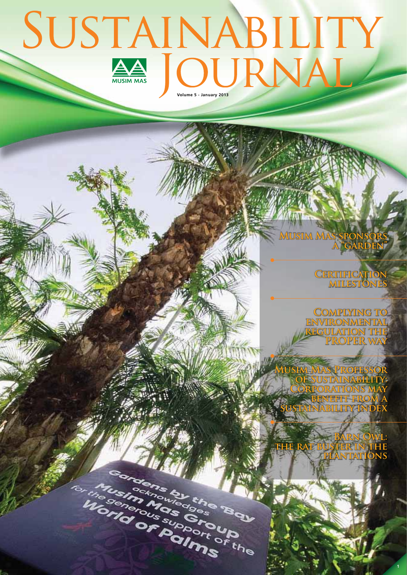## **SUSTAINABILITY**

**CONSTRUCTION AND STREET** 

**AUTOR POIDS INDIANAL READ** 

**Musim Mas sponsors a "garden"**

> **Certification milestones**

**Complying to environmental regulation the PROPER WA** 

**Musim Mas Professor of Sustainability: Corporations may benefit from a sustainability index**

**Barn Owl: IN THE plantations** 

**1**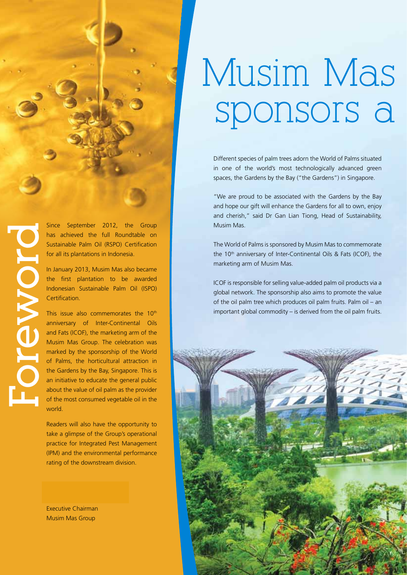

has achieved the full Roundtable on Sustainable Palm Oil (RSPO) Certification for all its plantations in Indonesia.

In January 2013, Musim Mas also became the first plantation to be awarded Indonesian Sustainable Palm Oil (ISPO) Certification.

Since September 2012, the Group<br>
has achieved the full Roundtable on<br>
sustainable Palm Oil (RSPO) Certification<br>
for all its plantations in Indonesia.<br>
In January 2013, Musim Mas also became<br>
the first plantation to be awa This issue also commemorates the 10<sup>th</sup> anniversary of Inter-Continental Oils and Fats (ICOF), the marketing arm of the Musim Mas Group. The celebration was marked by the sponsorship of the World of Palms, the horticultural attraction in the Gardens by the Bay, Singapore. This is an initiative to educate the general public about the value of oil palm as the provider of the most consumed vegetable oil in the world.

> Readers will also have the opportunity to take a glimpse of the Group's operational practice for Integrated Pest Management (IPM) and the environmental performance rating of the downstream division.

Executive Chairman Musim Mas Group

## Musim Mas sponsors a

Different species of palm trees adorn the World of Palms situated in one of the world's most technologically advanced green spaces, the Gardens by the Bay ("the Gardens") in Singapore.

"We are proud to be associated with the Gardens by the Bay and hope our gift will enhance the Gardens for all to own, enjoy and cherish," said Dr Gan Lian Tiong, Head of Sustainability, Musim Mas.

The World of Palms is sponsored by Musim Mas to commemorate the 10<sup>th</sup> anniversary of Inter-Continental Oils & Fats (ICOF), the marketing arm of Musim Mas.

ICOF is responsible for selling value-added palm oil products via a global network. The sponsorship also aims to promote the value of the oil palm tree which produces oil palm fruits. Palm oil – an important global commodity – is derived from the oil palm fruits.

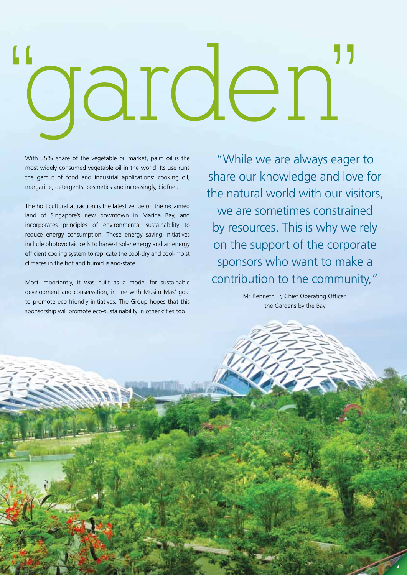# "garden"

With 35% share of the vegetable oil market, palm oil is the most widely consumed vegetable oil in the world. Its use runs the gamut of food and industrial applications: cooking oil, margarine, detergents, cosmetics and increasingly, biofuel.

The horticultural attraction is the latest venue on the reclaimed land of Singapore's new downtown in Marina Bay, and incorporates principles of environmental sustainability to reduce energy consumption. These energy saving initiatives include photovoltaic cells to harvest solar energy and an energy efficient cooling system to replicate the cool-dry and cool-moist climates in the hot and humid island-state.

Most importantly, it was built as a model for sustainable development and conservation, in line with Musim Mas' goal to promote eco-friendly initiatives. The Group hopes that this sponsorship will promote eco-sustainability in other cities too.

"While we are always eager to share our knowledge and love for the natural world with our visitors, we are sometimes constrained by resources. This is why we rely on the support of the corporate sponsors who want to make a contribution to the community,"

> Mr Kenneth Er, Chief Operating Officer, the Gardens by the Bay

> > **3**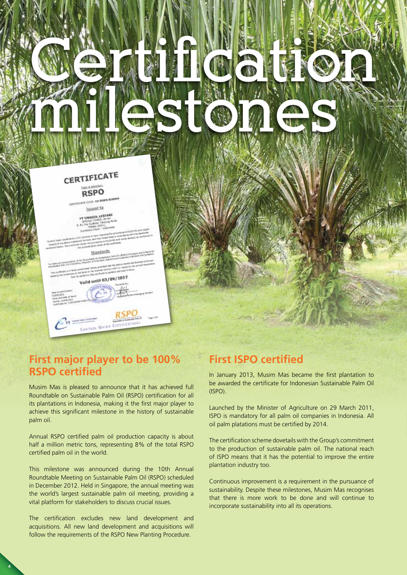

#### **First major player to be 100% RSPO certified**

Musim Mas is pleased to announce that it has achieved full Roundtable on Sustainable Palm Oil (RSPO) certification for all its plantations in Indonesia, making it the first major player to achieve this significant milestone in the history of sustainable palm oil.

Annual RSPO certified palm oil production capacity is about half a million metric tons, representing 8% of the total RSPO certified palm oil in the world.

This milestone was announced during the 10th Annual Roundtable Meeting on Sustainable Palm Oil (RSPO) scheduled in December 2012. Held in Singapore, the annual meeting was the world's largest sustainable palm oil meeting, providing a vital platform for stakeholders to discuss crucial issues.

The certification excludes new land development and acquisitions. All new land development and acquisitions will follow the requirements of the RSPO New Planting Procedure.

**4**

## **First ISPO certified**

In January 2013, Musim Mas became the first plantation to be awarded the certificate for Indonesian Sustainable Palm Oil (ISPO).

Launched by the Minister of Agriculture on 29 March 2011, ISPO is mandatory for all palm oil companies in Indonesia. All oil palm platations must be certified by 2014.

The certification scheme dovetails with the Group's commitment to the production of sustainable palm oil. The national reach of ISPO means that it has the potential to improve the entire plantation industry too.

Continuous improvement is a requirement in the pursuance of sustainability. Despite these milestones, Musim Mas recognises that there is more work to be done and will continue to incorporate sustainability into all its operations.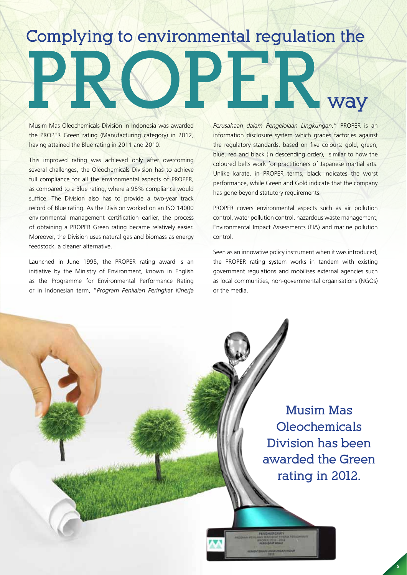## **Complying to environmental regulation the**

Musim Mas Oleochemicals Division in Indonesia was awarded the PROPER Green rating (Manufacturing category) in 2012, having attained the Blue rating in 2011 and 2010.

This improved rating was achieved only after overcoming several challenges, the Oleochemicals Division has to achieve full compliance for all the environmental aspects of PROPER, as compared to a Blue rating, where a 95% compliance would suffice. The Division also has to provide a two-year track record of Blue rating. As the Division worked on an ISO 14000 environmental management certification earlier, the process of obtaining a PROPER Green rating became relatively easier. Moreover, the Division uses natural gas and biomass as energy feedstock, a cleaner alternative.

Launched in June 1995, the PROPER rating award is an initiative by the Ministry of Environment, known in English as the Programme for Environmental Performance Rating or in Indonesian term, "*Program Penilaian Peringkat Kinerja*  *Perusahaan dalam Pengelolaan Lingkungan.*" PROPER is an information disclosure system which grades factories against the regulatory standards, based on five colours: gold, green, blue, red and black (in descending order), similar to how the coloured belts work for practitioners of Japanese martial arts. Unlike karate, in PROPER terms, black indicates the worst performance, while Green and Gold indicate that the company has gone beyond statutory requirements.

**way**

PROPER covers environmental aspects such as air pollution control, water pollution control, hazardous waste management, Environmental Impact Assessments (EIA) and marine pollution control.

Seen as an innovative policy instrument when it was introduced, the PROPER rating system works in tandem with existing government regulations and mobilises external agencies such as local communities, non-governmental organisations (NGOs) or the media.

> **Musim Mas Oleochemicals Division has been awarded the Green rating in 2012.**

> > **5**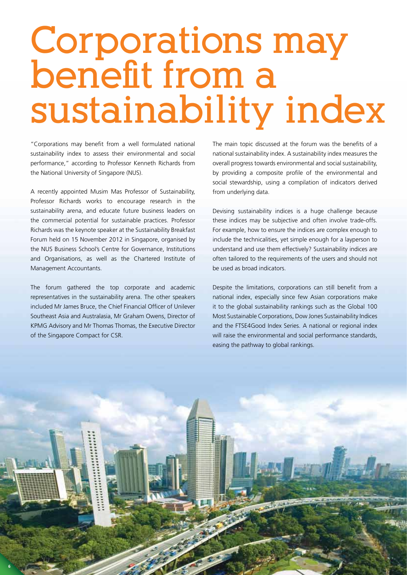## **Corporations may benefit from a sustainability index**

"Corporations may benefit from a well formulated national sustainability index to assess their environmental and social performance," according to Professor Kenneth Richards from the National University of Singapore (NUS).

A recently appointed Musim Mas Professor of Sustainability, Professor Richards works to encourage research in the sustainability arena, and educate future business leaders on the commercial potential for sustainable practices. Professor Richards was the keynote speaker at the Sustainability Breakfast Forum held on 15 November 2012 in Singapore, organised by the NUS Business School's Centre for Governance, Institutions and Organisations, as well as the Chartered Institute of Management Accountants.

The forum gathered the top corporate and academic representatives in the sustainability arena. The other speakers included Mr James Bruce, the Chief Financial Officer of Unilever Southeast Asia and Australasia, Mr Graham Owens, Director of KPMG Advisory and Mr Thomas Thomas, the Executive Director of the Singapore Compact for CSR.

**6**

The main topic discussed at the forum was the benefits of a national sustainability index. A sustainability index measures the overall progress towards environmental and social sustainability, by providing a composite profile of the environmental and social stewardship, using a compilation of indicators derived from underlying data.

Devising sustainability indices is a huge challenge because these indices may be subjective and often involve trade-offs. For example, how to ensure the indices are complex enough to include the technicalities, yet simple enough for a layperson to understand and use them effectively? Sustainability indices are often tailored to the requirements of the users and should not be used as broad indicators.

Despite the limitations, corporations can still benefit from a national index, especially since few Asian corporations make it to the global sustainability rankings such as the Global 100 Most Sustainable Corporations, Dow Jones Sustainability Indices and the FTSE4Good Index Series. A national or regional index will raise the environmental and social performance standards, easing the pathway to global rankings.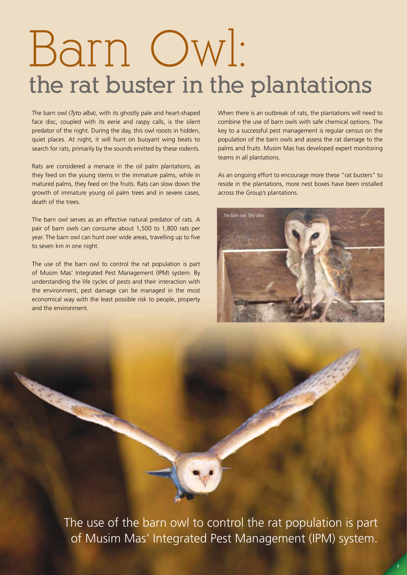## Barn Owl: **the rat buster in the plantations**

The barn owl (*Tyto alba*), with its ghostly pale and heart-shaped face disc, coupled with its eerie and raspy calls, is the silent predator of the night. During the day, this owl roosts in hidden, quiet places. At night, it will hunt on buoyant wing beats to search for rats, primarily by the sounds emitted by these rodents.

Rats are considered a menace in the oil palm plantations, as they feed on the young stems in the immature palms, while in matured palms, they feed on the fruits. Rats can slow down the growth of immature young oil palm trees and in severe cases, death of the trees.

The barn owl serves as an effective natural predator of rats. A pair of barn owls can consume about 1,500 to 1,800 rats per year. The barn owl can hunt over wide areas, travelling up to five to seven km in one night.

The use of the barn owl to control the rat population is part of Musim Mas' Integrated Pest Management (IPM) system. By understanding the life cycles of pests and their interaction with the environment, pest damage can be managed in the most economical way with the least possible risk to people, property and the environment.

When there is an outbreak of rats, the plantations will need to combine the use of barn owls with safe chemical options. The key to a successful pest management is regular census on the population of the barn owls and assess the rat damage to the palms and fruits. Musim Mas has developed expert monitoring teams in all plantations.

As an ongoing effort to encourage more these "rat busters" to reside in the plantations, more nest boxes have been installed across the Group's plantations.



The use of the barn owl to control the rat population is part of Musim Mas' Integrated Pest Management (IPM) system.